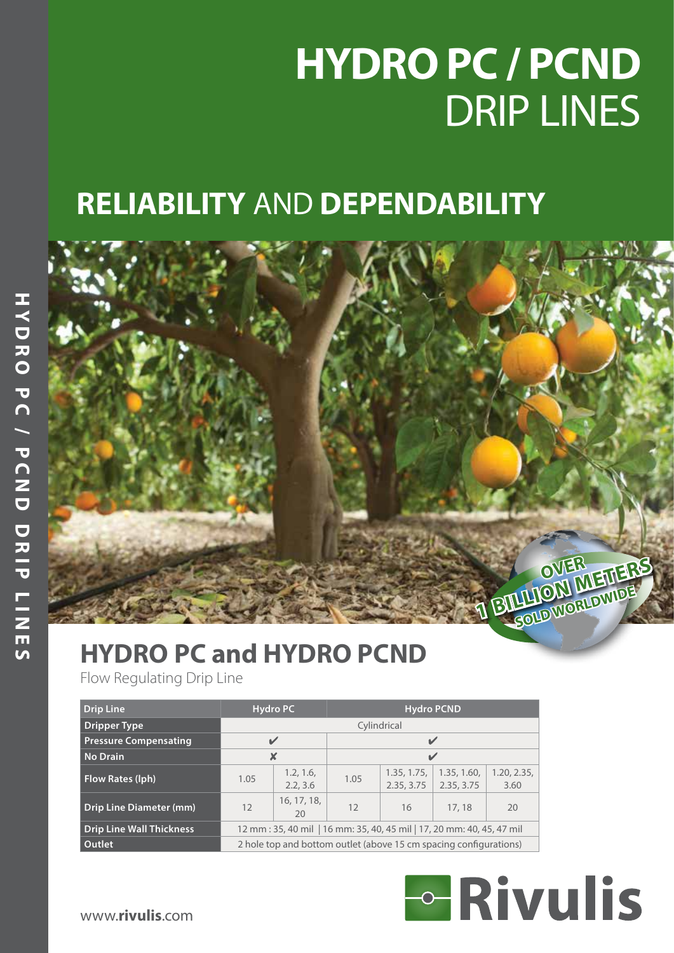# **HYDRO PC / PCND** DRIP LINES

# **RELIABILITY** AND **DEPENDABILITY**



# **HYDRO PC and HYDRO PCND**

| <b>HYDRO PC and HYDRO PCND</b><br>Flow Regulating Drip Line |      |                                                                        |                   |                           |                           |                     | BULLION METHER |  |  |  |  |
|-------------------------------------------------------------|------|------------------------------------------------------------------------|-------------------|---------------------------|---------------------------|---------------------|----------------|--|--|--|--|
| <b>Drip Line</b>                                            |      | <b>Hydro PC</b>                                                        | <b>Hydro PCND</b> |                           |                           |                     |                |  |  |  |  |
| <b>Dripper Type</b>                                         |      |                                                                        |                   | Cylindrical               |                           |                     |                |  |  |  |  |
| <b>Pressure Compensating</b>                                |      | $\checkmark$                                                           |                   | $\mathbf{v}$              |                           |                     |                |  |  |  |  |
| <b>No Drain</b>                                             |      | $\boldsymbol{\mathsf{x}}$                                              |                   | $\mathbf{v}$              |                           |                     |                |  |  |  |  |
| Flow Rates (lph)                                            | 1.05 | 1.2, 1.6,<br>2.2, 3.6                                                  | 1.05              | 1.35, 1.75,<br>2.35, 3.75 | 1.35, 1.60,<br>2.35, 3.75 | 1.20, 2.35,<br>3.60 |                |  |  |  |  |
| <b>Drip Line Diameter (mm)</b>                              | 12   | 16, 17, 18,<br>20                                                      | 12                | 16                        | 17, 18                    | 20                  |                |  |  |  |  |
| <b>Drip Line Wall Thickness</b>                             |      | 12 mm : 35, 40 mil   16 mm: 35, 40, 45 mil   17, 20 mm: 40, 45, 47 mil |                   |                           |                           |                     |                |  |  |  |  |
| Outlet                                                      |      | 2 hole top and bottom outlet (above 15 cm spacing configurations)      |                   |                           |                           |                     |                |  |  |  |  |

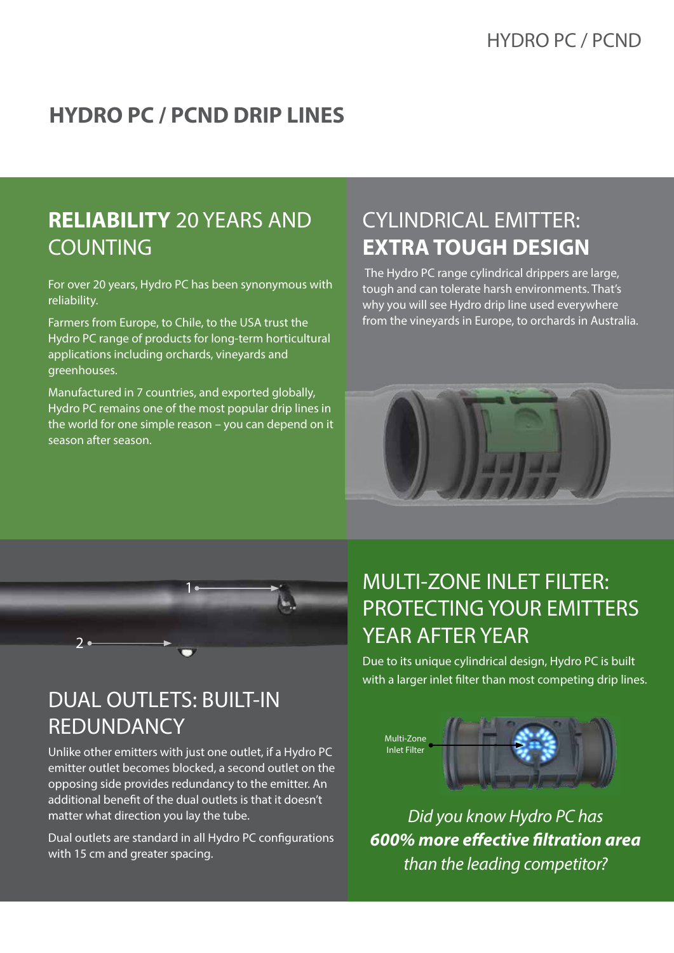#### **HYDRO PC / PCND DRIP LINES**

#### **RELIABILITY** 20 YEARS AND COUNTING

For over 20 years, Hydro PC has been synonymous with reliability.

Farmers from Europe, to Chile, to the USA trust the Hydro PC range of products for long-term horticultural applications including orchards, vineyards and greenhouses.

Manufactured in 7 countries, and exported globally, Hydro PC remains one of the most popular drip lines in the world for one simple reason – you can depend on it season after season.

#### CYLINDRICAL EMITTER: **EXTRA TOUGH DESIGN**

 The Hydro PC range cylindrical drippers are large, tough and can tolerate harsh environments. That's why you will see Hydro drip line used everywhere from the vineyards in Europe, to orchards in Australia.





#### DUAL OUTLETS: BUILT-IN REDUNDANCY

Unlike other emitters with just one outlet, if a Hydro PC emitter outlet becomes blocked, a second outlet on the opposing side provides redundancy to the emitter. An additional benefit of the dual outlets is that it doesn't matter what direction you lay the tube.

Dual outlets are standard in all Hydro PC configurations with 15 cm and greater spacing.

### MULTI-ZONE INLET FILTER: PROTECTING YOUR EMITTERS YEAR AFTER YEAR

Due to its unique cylindrical design, Hydro PC is built with a larger inlet filter than most competing drip lines.



*Did you know Hydro PC has 600% more effective filtration area than the leading competitor?*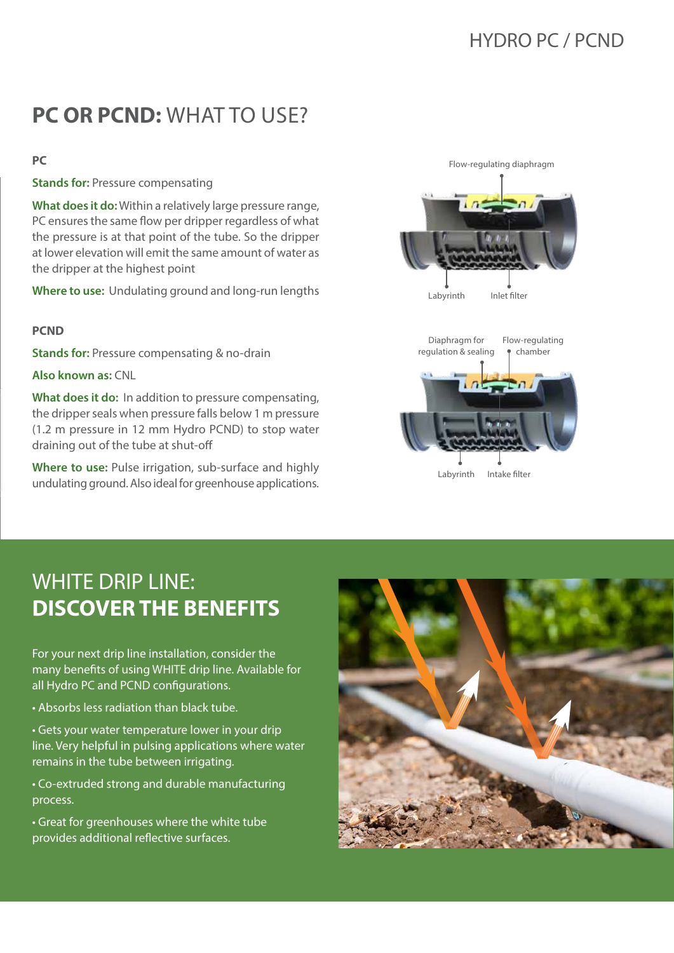#### **PC OR PCND:** WHAT TO USE?

#### **PC**

**Stands for:** Pressure compensating

**What does it do:** Within a relatively large pressure range, PC ensures the same flow per dripper regardless of what the pressure is at that point of the tube. So the dripper at lower elevation will emit the same amount of water as the dripper at the highest point

**Where to use:** Undulating ground and long-run lengths

#### **PCND**

**Stands for:** Pressure compensating & no-drain

**Also known as:** CNL

**What does it do:** In addition to pressure compensating, the dripper seals when pressure falls below 1 m pressure (1.2 m pressure in 12 mm Hydro PCND) to stop water draining out of the tube at shut-off

**Where to use:** Pulse irrigation, sub-surface and highly undulating ground. Also ideal for greenhouse applications.





Labyrinth Intake filter

#### WHITE DRIP LINE: **DISCOVER THE BENEFITS**

For your next drip line installation, consider the many benefits of using WHITE drip line. Available for all Hydro PC and PCND configurations.

• Absorbs less radiation than black tube.

• Gets your water temperature lower in your drip line. Very helpful in pulsing applications where water remains in the tube between irrigating.

• Co-extruded strong and durable manufacturing process.

• Great for greenhouses where the white tube provides additional reflective surfaces.

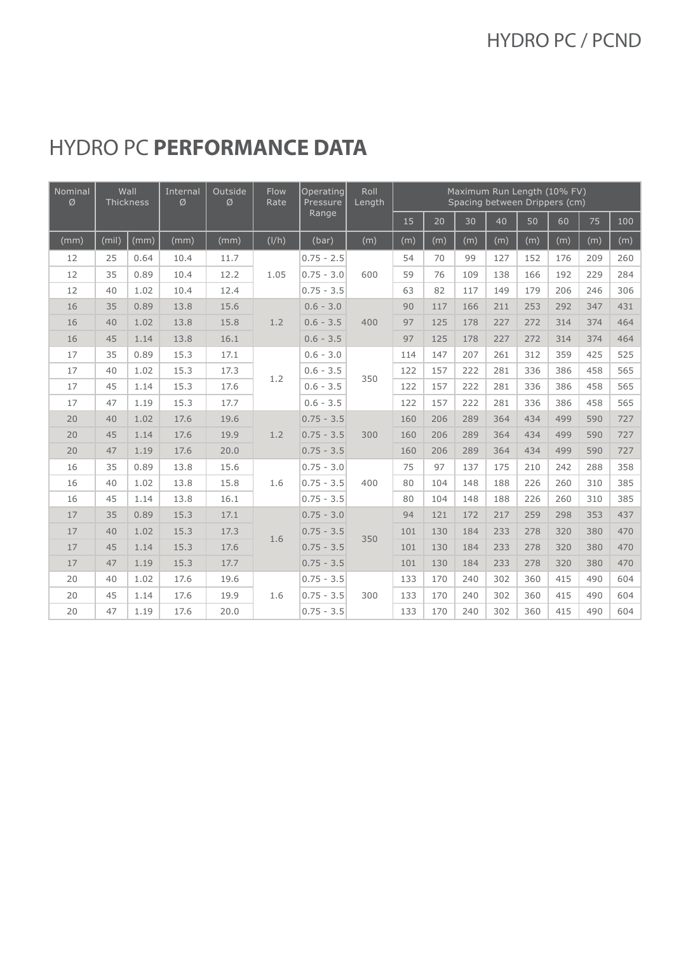### HYDRO PC **PERFORMANCE DATA**

| Nominal<br>Ø | Wall<br>Thickness |      | Internal<br>Ø | Outside<br>Ø | <b>Flow</b><br>Rate | Operating<br>Pressure | Roll<br>Length |     |     |     | Maximum Run Length (10% FV)<br>Spacing between Drippers (cm) |     |     |     |     |
|--------------|-------------------|------|---------------|--------------|---------------------|-----------------------|----------------|-----|-----|-----|--------------------------------------------------------------|-----|-----|-----|-----|
|              |                   |      |               |              |                     | Range                 |                | 15  | 20  | 30  | 40                                                           | 50  | 60  | 75  | 100 |
| (mm)         | (mil)             | (mm) | (mm)          | (mm)         | (I/h)               | (bar)                 | (m)            | (m) | (m) | (m) | (m)                                                          | (m) | (m) | (m) | (m) |
| 12           | 25                | 0.64 | 10.4          | 11.7         |                     | $0.75 - 2.5$          |                | 54  | 70  | 99  | 127                                                          | 152 | 176 | 209 | 260 |
| 12           | 35                | 0.89 | 10.4          | 12.2         | 1.05                | $0.75 - 3.0$          | 600            | 59  | 76  | 109 | 138                                                          | 166 | 192 | 229 | 284 |
| 12           | 40                | 1.02 | 10.4          | 12.4         |                     | $0.75 - 3.5$          |                | 63  | 82  | 117 | 149                                                          | 179 | 206 | 246 | 306 |
| 16           | 35                | 0.89 | 13.8          | 15.6         |                     | $0.6 - 3.0$           |                | 90  | 117 | 166 | 211                                                          | 253 | 292 | 347 | 431 |
| 16           | 40                | 1.02 | 13.8          | 15.8         | 1.2                 | $0.6 - 3.5$           | 400            | 97  | 125 | 178 | 227                                                          | 272 | 314 | 374 | 464 |
| 16           | 45                | 1.14 | 13.8          | 16.1         |                     | $0.6 - 3.5$           |                | 97  | 125 | 178 | 227                                                          | 272 | 314 | 374 | 464 |
| 17           | 35                | 0.89 | 15.3          | 17.1         |                     | $0.6 - 3.0$           | 350            | 114 | 147 | 207 | 261                                                          | 312 | 359 | 425 | 525 |
| 17           | 40                | 1.02 | 15.3          | 17.3         | 1.2                 | $0.6 - 3.5$           |                | 122 | 157 | 222 | 281                                                          | 336 | 386 | 458 | 565 |
| 17           | 45                | 1.14 | 15.3          | 17.6         |                     | $0.6 - 3.5$           |                | 122 | 157 | 222 | 281                                                          | 336 | 386 | 458 | 565 |
| 17           | 47                | 1.19 | 15.3          | 17.7         |                     | $0.6 - 3.5$           |                | 122 | 157 | 222 | 281                                                          | 336 | 386 | 458 | 565 |
| 20           | 40                | 1.02 | 17.6          | 19.6         |                     | $0.75 - 3.5$          |                | 160 | 206 | 289 | 364                                                          | 434 | 499 | 590 | 727 |
| 20           | 45                | 1.14 | 17.6          | 19.9         | 1.2                 | $0.75 - 3.5$          | 300            | 160 | 206 | 289 | 364                                                          | 434 | 499 | 590 | 727 |
| 20           | 47                | 1.19 | 17.6          | 20.0         |                     | $0.75 - 3.5$          |                | 160 | 206 | 289 | 364                                                          | 434 | 499 | 590 | 727 |
| 16           | 35                | 0.89 | 13.8          | 15.6         |                     | $0.75 - 3.0$          |                | 75  | 97  | 137 | 175                                                          | 210 | 242 | 288 | 358 |
| 16           | 40                | 1.02 | 13.8          | 15.8         | 1.6                 | $0.75 - 3.5$          | 400            | 80  | 104 | 148 | 188                                                          | 226 | 260 | 310 | 385 |
| 16           | 45                | 1.14 | 13.8          | 16.1         |                     | $0.75 - 3.5$          |                | 80  | 104 | 148 | 188                                                          | 226 | 260 | 310 | 385 |
| 17           | 35                | 0.89 | 15.3          | 17.1         |                     | $0.75 - 3.0$          |                | 94  | 121 | 172 | 217                                                          | 259 | 298 | 353 | 437 |
| 17           | 40                | 1.02 | 15.3          | 17.3         | 1.6                 | $0.75 - 3.5$          | 350            | 101 | 130 | 184 | 233                                                          | 278 | 320 | 380 | 470 |
| 17           | 45                | 1.14 | 15.3          | 17.6         |                     | $0.75 - 3.5$          |                | 101 | 130 | 184 | 233                                                          | 278 | 320 | 380 | 470 |
| 17           | 47                | 1.19 | 15.3          | 17.7         |                     | $0.75 - 3.5$          |                | 101 | 130 | 184 | 233                                                          | 278 | 320 | 380 | 470 |
| 20           | 40                | 1.02 | 17.6          | 19.6         |                     | $0.75 - 3.5$          |                | 133 | 170 | 240 | 302                                                          | 360 | 415 | 490 | 604 |
| 20           | 45                | 1.14 | 17.6          | 19.9         | 1.6                 | $0.75 - 3.5$          | 300            | 133 | 170 | 240 | 302                                                          | 360 | 415 | 490 | 604 |
| 20           | 47                | 1.19 | 17.6          | 20.0         |                     | $0.75 - 3.5$          |                | 133 | 170 | 240 | 302                                                          | 360 | 415 | 490 | 604 |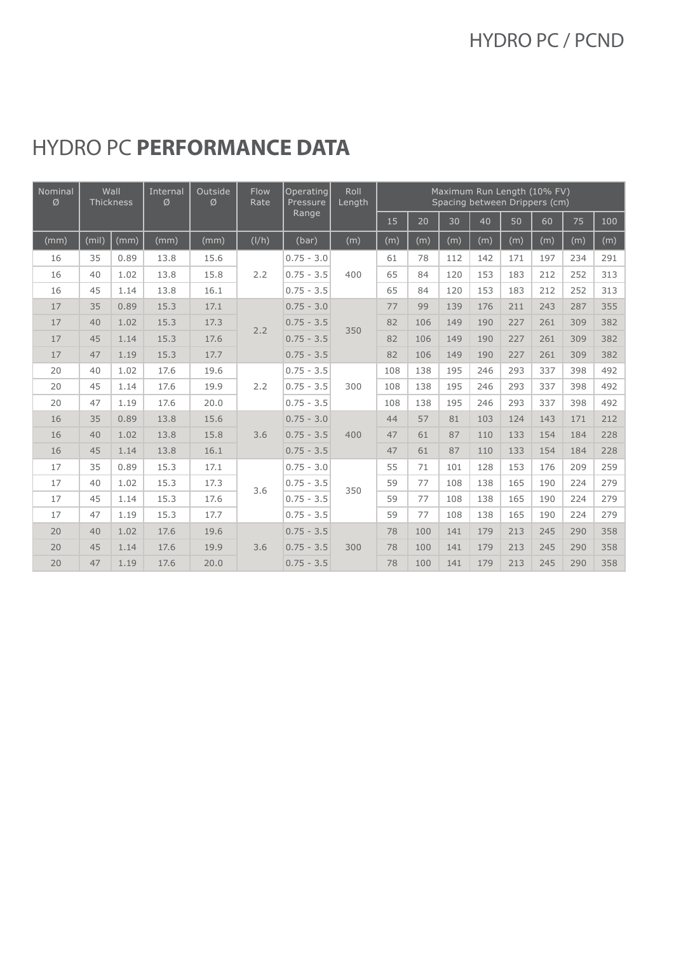### HYDRO PC **PERFORMANCE DATA**

| Nominal<br>Ø | Wall<br>Thickness |      | Outside<br>Internal<br>Ø<br>Ø |      | <b>Flow</b><br>Operating<br>Rate<br>Pressure |              | Roll<br>Length |     |     |     |     |     | Maximum Run Length (10% FV)<br>Spacing between Drippers (cm) |     |     |
|--------------|-------------------|------|-------------------------------|------|----------------------------------------------|--------------|----------------|-----|-----|-----|-----|-----|--------------------------------------------------------------|-----|-----|
|              |                   |      |                               |      |                                              | Range        |                | 15  | 20  | 30  | 40  | 50  | 60                                                           | 75  | 100 |
| (mm)         | (mil)             | (mm) | (mm)                          | (mm) | (I/h)                                        | (bar)        | (m)            | (m) | (m) | (m) | (m) | (m) | (m)                                                          | (m) | (m) |
| 16           | 35                | 0.89 | 13.8                          | 15.6 |                                              | $0.75 - 3.0$ |                | 61  | 78  | 112 | 142 | 171 | 197                                                          | 234 | 291 |
| 16           | 40                | 1.02 | 13.8                          | 15.8 | 2.2                                          | $0.75 - 3.5$ | 400            | 65  | 84  | 120 | 153 | 183 | 212                                                          | 252 | 313 |
| 16           | 45                | 1.14 | 13.8                          | 16.1 |                                              | $0.75 - 3.5$ |                | 65  | 84  | 120 | 153 | 183 | 212                                                          | 252 | 313 |
| 17           | 35                | 0.89 | 15.3                          | 17.1 |                                              | $0.75 - 3.0$ |                | 77  | 99  | 139 | 176 | 211 | 243                                                          | 287 | 355 |
| 17           | 40                | 1.02 | 15.3                          | 17.3 | 2.2                                          | $0.75 - 3.5$ | 350            | 82  | 106 | 149 | 190 | 227 | 261                                                          | 309 | 382 |
| 17           | 45                | 1.14 | 15.3                          | 17.6 |                                              | $0.75 - 3.5$ |                | 82  | 106 | 149 | 190 | 227 | 261                                                          | 309 | 382 |
| 17           | 47                | 1.19 | 15.3                          | 17.7 |                                              | $0.75 - 3.5$ |                | 82  | 106 | 149 | 190 | 227 | 261                                                          | 309 | 382 |
| 20           | 40                | 1.02 | 17.6                          | 19.6 |                                              | $0.75 - 3.5$ | 300            | 108 | 138 | 195 | 246 | 293 | 337                                                          | 398 | 492 |
| 20           | 45                | 1.14 | 17.6                          | 19.9 | 2.2                                          | $0.75 - 3.5$ |                | 108 | 138 | 195 | 246 | 293 | 337                                                          | 398 | 492 |
| 20           | 47                | 1.19 | 17.6                          | 20.0 |                                              | $0.75 - 3.5$ |                | 108 | 138 | 195 | 246 | 293 | 337                                                          | 398 | 492 |
| 16           | 35                | 0.89 | 13.8                          | 15.6 |                                              | $0.75 - 3.0$ |                | 44  | 57  | 81  | 103 | 124 | 143                                                          | 171 | 212 |
| 16           | 40                | 1.02 | 13.8                          | 15.8 | 3.6                                          | $0.75 - 3.5$ | 400            | 47  | 61  | 87  | 110 | 133 | 154                                                          | 184 | 228 |
| 16           | 45                | 1.14 | 13.8                          | 16.1 |                                              | $0.75 - 3.5$ |                | 47  | 61  | 87  | 110 | 133 | 154                                                          | 184 | 228 |
| 17           | 35                | 0.89 | 15.3                          | 17.1 |                                              | $0.75 - 3.0$ |                | 55  | 71  | 101 | 128 | 153 | 176                                                          | 209 | 259 |
| 17           | 40                | 1.02 | 15.3                          | 17.3 | 3.6                                          | $0.75 - 3.5$ | 350            | 59  | 77  | 108 | 138 | 165 | 190                                                          | 224 | 279 |
| 17           | 45                | 1.14 | 15.3                          | 17.6 |                                              | $0.75 - 3.5$ |                | 59  | 77  | 108 | 138 | 165 | 190                                                          | 224 | 279 |
| 17           | 47                | 1.19 | 15.3                          | 17.7 |                                              | $0.75 - 3.5$ |                | 59  | 77  | 108 | 138 | 165 | 190                                                          | 224 | 279 |
| 20           | 40                | 1.02 | 17.6                          | 19.6 |                                              | $0.75 - 3.5$ |                | 78  | 100 | 141 | 179 | 213 | 245                                                          | 290 | 358 |
| 20           | 45                | 1.14 | 17.6                          | 19.9 | 3.6                                          | $0.75 - 3.5$ | 300            | 78  | 100 | 141 | 179 | 213 | 245                                                          | 290 | 358 |
| 20           | 47                | 1.19 | 17.6                          | 20.0 |                                              | $0.75 - 3.5$ |                | 78  | 100 | 141 | 179 | 213 | 245                                                          | 290 | 358 |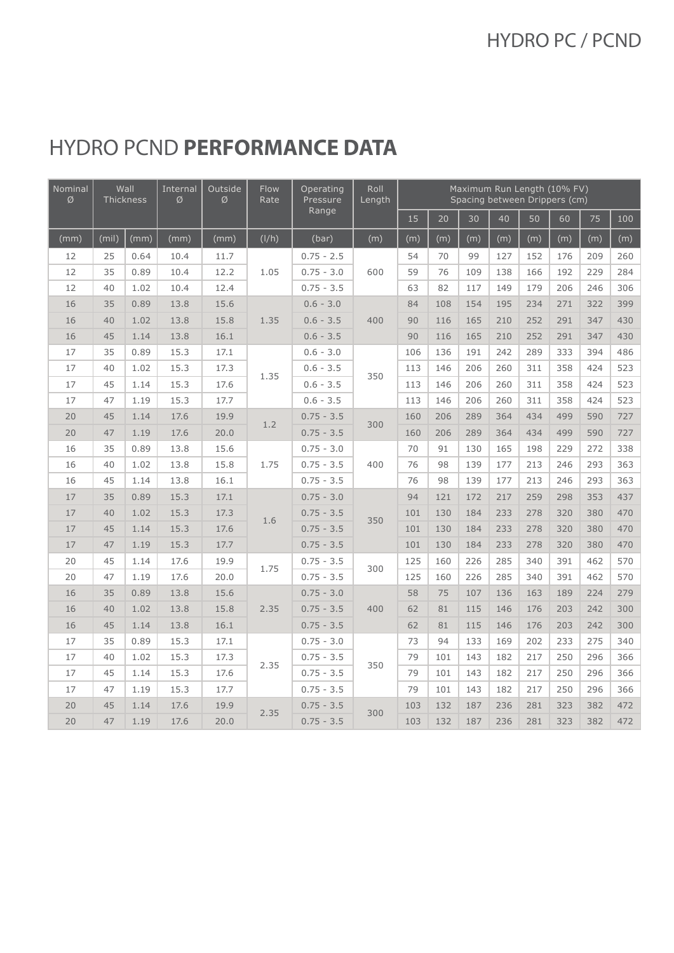#### HYDRO PCND **PERFORMANCE DATA**

| Nominal<br>Ø | Wall<br>Thickness |      | Internal<br>Ø | Outside<br>Ø | <b>Flow</b><br>Rate | Operating<br>Pressure | Roll<br>Length |     |     |     |     |     | Maximum Run Length (10% FV)<br>Spacing between Drippers (cm) |     |     |
|--------------|-------------------|------|---------------|--------------|---------------------|-----------------------|----------------|-----|-----|-----|-----|-----|--------------------------------------------------------------|-----|-----|
|              |                   |      |               |              |                     | Range                 |                | 15  | 20  | 30  | 40  | 50  | 60                                                           | 75  | 100 |
| (mm)         | (mil)             | (mm) | (mm)          | (mm)         | (I/h)               | (bar)                 | (m)            | (m) | (m) | (m) | (m) | (m) | (m)                                                          | (m) | (m) |
| 12           | 25                | 0.64 | 10.4          | 11.7         |                     | $0.75 - 2.5$          |                | 54  | 70  | 99  | 127 | 152 | 176                                                          | 209 | 260 |
| 12           | 35                | 0.89 | 10.4          | 12.2         | 1.05                | $0.75 - 3.0$          | 600            | 59  | 76  | 109 | 138 | 166 | 192                                                          | 229 | 284 |
| 12           | 40                | 1.02 | 10.4          | 12.4         |                     | $0.75 - 3.5$          |                | 63  | 82  | 117 | 149 | 179 | 206                                                          | 246 | 306 |
| 16           | 35                | 0.89 | 13.8          | 15.6         |                     | $0.6 - 3.0$           |                | 84  | 108 | 154 | 195 | 234 | 271                                                          | 322 | 399 |
| 16           | 40                | 1.02 | 13.8          | 15.8         | 1.35                | $0.6 - 3.5$           | 400            | 90  | 116 | 165 | 210 | 252 | 291                                                          | 347 | 430 |
| 16           | 45                | 1.14 | 13.8          | 16.1         |                     | $0.6 - 3.5$           |                | 90  | 116 | 165 | 210 | 252 | 291                                                          | 347 | 430 |
| 17           | 35                | 0.89 | 15.3          | 17.1         |                     | $0.6 - 3.0$           |                | 106 | 136 | 191 | 242 | 289 | 333                                                          | 394 | 486 |
| 17           | 40                | 1.02 | 15.3          | 17.3         |                     | $0.6 - 3.5$           | 350            | 113 | 146 | 206 | 260 | 311 | 358                                                          | 424 | 523 |
| 17           | 45                | 1.14 | 15.3          | 17.6         | 1.35                | $0.6 - 3.5$           |                | 113 | 146 | 206 | 260 | 311 | 358                                                          | 424 | 523 |
| 17           | 47                | 1.19 | 15.3          | 17.7         |                     | $0.6 - 3.5$           |                | 113 | 146 | 206 | 260 | 311 | 358                                                          | 424 | 523 |
| 20           | 45                | 1.14 | 17.6          | 19.9         | 1.2                 | $0.75 - 3.5$          | 300            | 160 | 206 | 289 | 364 | 434 | 499                                                          | 590 | 727 |
| 20           | 47                | 1.19 | 17.6          | 20.0         |                     | $0.75 - 3.5$          |                | 160 | 206 | 289 | 364 | 434 | 499                                                          | 590 | 727 |
| 16           | 35                | 0.89 | 13.8          | 15.6         | 1.75                | $0.75 - 3.0$          | 400            | 70  | 91  | 130 | 165 | 198 | 229                                                          | 272 | 338 |
| 16           | 40                | 1.02 | 13.8          | 15.8         |                     | $0.75 - 3.5$          |                | 76  | 98  | 139 | 177 | 213 | 246                                                          | 293 | 363 |
| 16           | 45                | 1.14 | 13.8          | 16.1         |                     | $0.75 - 3.5$          |                | 76  | 98  | 139 | 177 | 213 | 246                                                          | 293 | 363 |
| 17           | 35                | 0.89 | 15.3          | 17.1         |                     | $0.75 - 3.0$          | 350            | 94  | 121 | 172 | 217 | 259 | 298                                                          | 353 | 437 |
| 17           | 40                | 1.02 | 15.3          | 17.3         |                     | $0.75 - 3.5$          |                | 101 | 130 | 184 | 233 | 278 | 320                                                          | 380 | 470 |
| 17           | 45                | 1.14 | 15.3          | 17.6         | 1.6                 | $0.75 - 3.5$          |                | 101 | 130 | 184 | 233 | 278 | 320                                                          | 380 | 470 |
| 17           | 47                | 1.19 | 15.3          | 17.7         |                     | $0.75 - 3.5$          |                | 101 | 130 | 184 | 233 | 278 | 320                                                          | 380 | 470 |
| 20           | 45                | 1.14 | 17.6          | 19.9         |                     | $0.75 - 3.5$          | 300            | 125 | 160 | 226 | 285 | 340 | 391                                                          | 462 | 570 |
| 20           | 47                | 1.19 | 17.6          | 20.0         | 1.75                | $0.75 - 3.5$          |                | 125 | 160 | 226 | 285 | 340 | 391                                                          | 462 | 570 |
| 16           | 35                | 0.89 | 13.8          | 15.6         |                     | $0.75 - 3.0$          |                | 58  | 75  | 107 | 136 | 163 | 189                                                          | 224 | 279 |
| 16           | 40                | 1.02 | 13.8          | 15.8         | 2.35                | $0.75 - 3.5$          | 400            | 62  | 81  | 115 | 146 | 176 | 203                                                          | 242 | 300 |
| 16           | 45                | 1.14 | 13.8          | 16.1         |                     | $0.75 - 3.5$          |                | 62  | 81  | 115 | 146 | 176 | 203                                                          | 242 | 300 |
| 17           | 35                | 0.89 | 15.3          | 17.1         |                     | $0.75 - 3.0$          |                | 73  | 94  | 133 | 169 | 202 | 233                                                          | 275 | 340 |
| 17           | 40                | 1.02 | 15.3          | 17.3         |                     | $0.75 - 3.5$          |                | 79  | 101 | 143 | 182 | 217 | 250                                                          | 296 | 366 |
| 17           | 45                | 1.14 | 15.3          | 17.6         | 2.35                | $0.75 - 3.5$          | 350            | 79  | 101 | 143 | 182 | 217 | 250                                                          | 296 | 366 |
| 17           | 47                | 1.19 | 15.3          | 17.7         |                     | $0.75 - 3.5$          |                | 79  | 101 | 143 | 182 | 217 | 250                                                          | 296 | 366 |
| 20           | 45                | 1.14 | 17.6          | 19.9         | 2.35                | $0.75 - 3.5$          | 300            | 103 | 132 | 187 | 236 | 281 | 323                                                          | 382 | 472 |
| 20           | 47                | 1.19 | 17.6          | 20.0         |                     | $0.75 - 3.5$          |                | 103 | 132 | 187 | 236 | 281 | 323                                                          | 382 | 472 |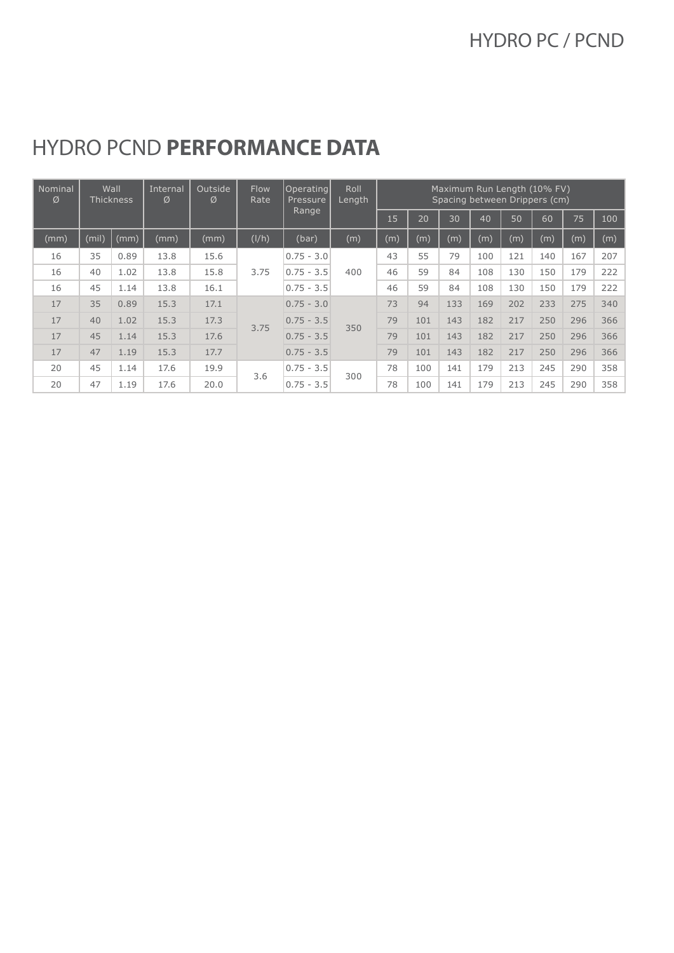| Nominal<br>Ø | Wall<br><b>Thickness</b> |      |      |      |       |              |     |     | Internal<br>Ø | Outside<br>Ø | <b>Flow</b><br>Rate | Operating <br>Pressure | Roll<br>Length | Maximum Run Length (10% FV)<br>Spacing between Drippers (cm) |     |  |  |  |  |  |  |
|--------------|--------------------------|------|------|------|-------|--------------|-----|-----|---------------|--------------|---------------------|------------------------|----------------|--------------------------------------------------------------|-----|--|--|--|--|--|--|
|              |                          |      |      |      |       | Range        |     | 15  | 20            | 30           | 40                  | 50                     | 60             | 75                                                           | 100 |  |  |  |  |  |  |
| (mm)         | (mil)                    | (mm) | (mm) | (mm) | (I/h) | (bar)        | (m) | (m) | (m)           | (m)          | (m)                 | (m)                    | (m)            | (m)                                                          | (m) |  |  |  |  |  |  |
| 16           | 35                       | 0.89 | 13.8 | 15.6 | 3.75  | $0.75 - 3.0$ |     | 43  | 55            | 79           | 100                 | 121                    | 140            | 167                                                          | 207 |  |  |  |  |  |  |
| 16           | 40                       | 1.02 | 13.8 | 15.8 |       | $0.75 - 3.5$ | 400 | 46  | 59            | 84           | 108                 | 130                    | 150            | 179                                                          | 222 |  |  |  |  |  |  |
| 16           | 45                       | 1.14 | 13.8 | 16.1 |       | $0.75 - 3.5$ |     | 46  | 59            | 84           | 108                 | 130                    | 150            | 179                                                          | 222 |  |  |  |  |  |  |
| 17           | 35                       | 0.89 | 15.3 | 17.1 |       | $0.75 - 3.0$ |     | 73  | 94            | 133          | 169                 | 202                    | 233            | 275                                                          | 340 |  |  |  |  |  |  |
| 17           | 40                       | 1.02 | 15.3 | 17.3 | 3.75  | $0.75 - 3.5$ | 350 | 79  | 101           | 143          | 182                 | 217                    | 250            | 296                                                          | 366 |  |  |  |  |  |  |
| 17           | 45                       | 1.14 | 15.3 | 17.6 |       | $0.75 - 3.5$ |     | 79  | 101           | 143          | 182                 | 217                    | 250            | 296                                                          | 366 |  |  |  |  |  |  |
| 17           | 47                       | 1.19 | 15.3 | 17.7 |       | $0.75 - 3.5$ |     | 79  | 101           | 143          | 182                 | 217                    | 250            | 296                                                          | 366 |  |  |  |  |  |  |
| 20           | 45                       | 1.14 | 17.6 | 19.9 | 3.6   | $0.75 - 3.5$ | 300 | 78  | 100           | 141          | 179                 | 213                    | 245            | 290                                                          | 358 |  |  |  |  |  |  |
| 20           | 47                       | 1.19 | 17.6 | 20.0 |       | $0.75 - 3.5$ |     | 78  | 100           | 141          | 179                 | 213                    | 245            | 290                                                          | 358 |  |  |  |  |  |  |

#### HYDRO PCND **PERFORMANCE DATA**